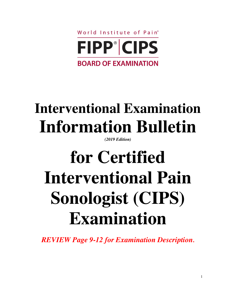

## **Interventional Examination Information Bulletin**

*(2019 Edition)*

# **for Certified Interventional Pain Sonologist (CIPS) Examination**

*REVIEW Page 9-12 for Examination Description***.**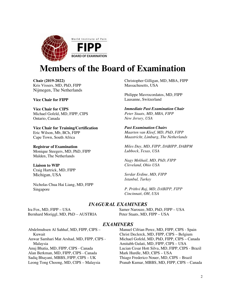

### **Members of the Board of Examination**

**Chair (2019-2022)** Kris Vissers, MD, PhD, FIPP Nijmegen, The Netherlands

**Vice Chair for FIPP**

**Vice Chair for CIPS** Michael Gofeld, MD, FIPP, CIPS Ontario, Canada

**Vice Chair for Training/Certification** Eric Wilson, Mb, BCh, FIPP Cape Town, South Africa

**Registrar of Examination** Monique Steegers, MD, PhD, FIPP Malden, The Netherlands

**Liaison to WIP** Craig Hartrick, MD, FIPP Michigan, USA

Nicholas Chua Hai Liang, MD, FIPP Singapore

Christopher Gilligan, MD, MBA, FIPP Massachusetts, USA

Philippe Mavrocordatos, MD, FIPP Lausanne, Switzerland

*Immediate Past Examination Chair Peter Staats, MD, MBA, FIPP New Jersey, USA*

*Past Examination Chairs Maarten van Kleef, MD, PhD, FIPP Maastricht, Limburg, The Netherlands*

*Miles Day, MD, FIPP, DABIPP, DABPM Lubbock, Texas, USA*

*Nagy Mekhail, MD, PhD, FIPP Cleveland, Ohio USA*

*Serdar Erdine, MD, FIPP Istanbul, Turkey*

*P. Prithvi Raj, MD, DABIPP, FIPP Cincinnati, OH, USA*

#### *INAGURAL EXAMINERS*

Ira Fox, MD, FIPP – USA Bernhard Moriggl, MD, PhD – AUSTRIA Samer Narouze, MD, PhD, FIPP – USA Peter Staats, MD, FIPP – USA

#### *EXAMINERS*

Abdelmuhsen Al Sahhaf, MD, FIPP, CIPS – Kuwait Anwar Samhari Mat Arshad, MD, FIPP, CIPS - Malaysia Anuj Bhatia, MD, FIPP, CIPS - Canada Alan Berkman, MD, FIPP, CIPS - Canada Sadiq Bhayani, MBBS, FIPP, CIPS – UK Leong Tong Choong, MD, CIPS – Malaysia

Manuel Cifrian Perez, MD, FIPP, CIPS - Spain Christ Declerck, MD, FIPP, CIPS – Belgium Michael Gofeld, MD, PhD, FIPP, CIPS – Canada Amitabh Gulati, MD, FIPP, CIPS – USA Lucian Cesar Hott Silva, MD, FIPP, CIPS - Brazil Mark Hurdle, MD, CIPS – USA Thiago Frederico Nouer, MD, CIPS – Brazil Pranab Kumar, MBBS, MD, FIPP, CIPS – Canada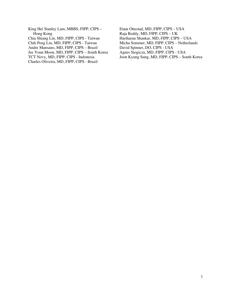- King Hei Stanley Lam, MBBS, FIPP, CIPS Hong Kong Chia Shiang Lin, MD, FIPP, CIPS - Taiwan Chih Peng Lin, MD, FIPP, CIPS - Taiwan Andre Mansano, MD, FIPP, CIPS – Brazil Jee Youn Moon, MD, FIPP, CIPS – South Korea TCT Novy, MD, FIPP, CIPS - Indonesia Charles Oliveira, MD, FIPP, CIPS - Brazil
- Einar Ottestad, MD, FIPP, CIPS USA Raja Reddy, MD, FIPP, CIPS – UK Hariharan Shankar, MD, FIPP, CIPS – USA Micha Sommer, MD, FIPP, CIPS – Netherlands David Spinner, DO, CIPS - USA Agnes Stogicza, MD, FIPP, CIPS - USA Joon Kyung Sung, MD, FIPP, CIPS – South Korea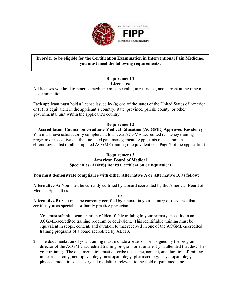

#### **In order to be eligible for the Certification Examination in Interventional Pain Medicine, you must meet the following requirements:**

#### **Requirement 1 Licensure**

All licenses you hold to practice medicine must be valid, unrestricted, and current at the time of the examination.

Each applicant must hold a license issued by (a) one of the states of the United States of America or (b) its equivalent in the applicant's country, state, province, parish, county, or other governmental unit within the applicant's country.

#### **Requirement 2**

#### **Accreditation Council on Graduate Medical Education (ACGME) Approved Residency**

You must have satisfactorily completed a four-year ACGME-accredited residency training program or its equivalent that included pain management. Applicants must submit a chronological list of all completed ACGME training or equivalent (see Page 2 of the application).

#### **Requirement 3 American Board of Medical Specialties (ABMS) Board Certification or Equivalent**

#### **You must demonstrate compliance with either Alternative A or Alternative B, as follow:**

**Alternative A:** You must be currently certified by a board accredited by the American Board of Medical Specialties.

**or**

**Alternative B:** You must be currently certified by a board in your country of residence that certifies you as specialist or family practice physician.

- 1. You must submit documentation of identifiable training in your primary specialty in an ACGME-accredited training program or equivalent. This identifiable training must be equivalent in scope, content, and duration to that received in one of the ACGME-accredited training programs of a board accredited by ABMS.
- 2. The documentation of your training must include a letter or form signed by the program director of the ACGME-accredited training program or equivalent you attended that describes your training. The documentation must describe the scope, content, and duration of training in neuroanatomy, neurophysiology, neuropathology, pharmacology, psychopathology, physical modalities, and surgical modalities relevant to the field of pain medicine.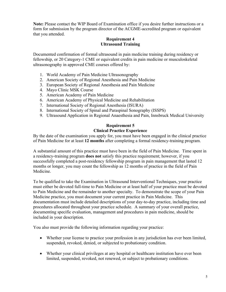**Note:** Please contact the WIP Board of Examination office if you desire further instructions or a form for submission by the program director of the ACGME-accredited program or equivalent that you attended.

#### **Requirement 4 Ultrasound Training**

Documented confirmation of formal ultrasound in pain medicine training during residency or fellowship, or 20 Category-1 CME or equivalent credits in pain medicine or musculoskeletal ultrasonography in approved CME courses offered by:

- 1. World Academy of Pain Medicine Ultrasonography
- 2. American Society of Regional Anesthesia and Pain Medicine
- 3. European Society of Regional Anesthesia and Pain Medicine
- 4. Mayo Clinic MSK Course
- 5. American Academy of Pain Medicine
- 6. American Academy of Physical Medicine and Rehabilitation
- 7. International Society of Regional Anesthesia (ISURA)
- 8. International Society of Spinal and Paraspinal Sonography (ISSPS)
- 9. Ultrasound Application in Regional Anaesthesia and Pain, Innsbruck Medical University

#### **Requirement 5 Clinical Practice Experience**

By the date of the examination you apply for, you must have been engaged in the clinical practice of Pain Medicine for at least **12 months** after completing a formal residency-training program.

A substantial amount of this practice must have been in the field of Pain Medicine. Time spent in a residency-training program **does not** satisfy this practice requirement; however, if you successfully completed a post-residency fellowship program in pain management that lasted 12 months or longer, you may count the fellowship as 12 months of practice in the field of Pain Medicine.

To be qualified to take the Examination in Ultrasound Interventional Techniques, your practice must either be devoted full-time to Pain Medicine or at least half of your practice must be devoted to Pain Medicine and the remainder to another specialty. To demonstrate the scope of your Pain Medicine practice, you must document your current practice in Pain Medicine. This documentation must include detailed descriptions of your day-to-day practice, including time and procedures allocated throughout your practice schedule. A summary of your overall practice, documenting specific evaluation, management and procedures in pain medicine, should be included in your description.

You also must provide the following information regarding your practice:

- Whether your license to practice your profession in any jurisdiction has ever been limited, suspended, revoked, denied, or subjected to probationary condition.
- Whether your clinical privileges at any hospital or healthcare institution have ever been limited, suspended, revoked, not renewed, or subject to probationary conditions.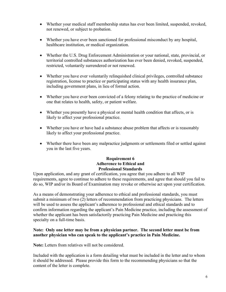- Whether your medical staff membership status has ever been limited, suspended, revoked, not renewed, or subject to probation.
- Whether you have ever been sanctioned for professional misconduct by any hospital, healthcare institution, or medical organization.
- Whether the U.S. Drug Enforcement Administration or your national, state, provincial, or territorial controlled substances authorization has ever been denied, revoked, suspended, restricted, voluntarily surrendered or not renewed.
- Whether you have ever voluntarily relinquished clinical privileges, controlled substance registration, license to practice or participating status with any health insurance plan, including government plans, in lieu of formal action.
- Whether you have ever been convicted of a felony relating to the practice of medicine or one that relates to health, safety, or patient welfare.
- Whether you presently have a physical or mental health condition that affects, or is likely to affect your professional practice.
- Whether you have or have had a substance abuse problem that affects or is reasonably likely to affect your professional practice.
- Whether there have been any malpractice judgments or settlements filed or settled against you in the last five years.

#### **Requirement 6 Adherence to Ethical and Professional Standards**

Upon application, and any grant of certification, you agree that you adhere to all WIP requirements, agree to continue to adhere to these requirements, and agree that should you fail to do so, WIP and/or its Board of Examination may revoke or otherwise act upon your certification.

As a means of demonstrating your adherence to ethical and professional standards, you must submit a minimum of two (2) letters of recommendation from practicing physicians. The letters will be used to assess the applicant's adherence to professional and ethical standards and to confirm information regarding the applicant's Pain Medicine practice, including the assessment of whether the applicant has been satisfactorily practicing Pain Medicine and practicing this specialty on a full-time basis.

#### **Note: Only one letter may be from a physician partner. The second letter must be from another physician who can speak to the applicant's practice in Pain Medicine.**

**Note:** Letters from relatives will not be considered.

Included with the application is a form detailing what must be included in the letter and to whom it should be addressed. Please provide this form to the recommending physicians so that the content of the letter is complete.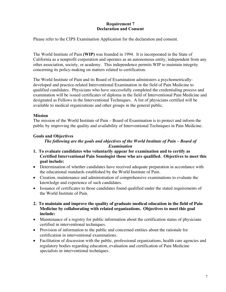#### **Requirement 7 Declaration and Consent**

Please refer to the CIPS Examination Application for the declaration and consent.

The World Institute of Pain **(WIP)** was founded in 1994. It is incorporated in the State of California as a nonprofit corporation and operates as an autonomous entity, independent from any other association, society, or academy. This independence permits WIP to maintain integrity concerning its policy-making on matters related to certification.

The World Institute of Pain and its Board of Examination administers a psychometricallydeveloped and practice-related Interventional Examination in the field of Pain Medicine to qualified candidates. Physicians who have successfully completed the credentialing process and examination will be issued certificates of diploma in the field of Interventional Pain Medicine and designated as Fellows in the Interventional Techniques. A list of physicians certified will be available to medical organizations and other groups in the general public.

#### **Mission**

The mission of the World Institute of Pain – Board of Examination is to protect and inform the public by improving the quality and availability of Interventional Techniques in Pain Medicine.

#### **Goals and Objectives**

#### *The following are the goals and objectives of the World Institute of Pain – Board of Examination*

- **1. To evaluate candidates who voluntarily appear for examination and to certify as Certified Interventional Pain Sonologist those who are qualified. Objectives to meet this goal include:**
- Determination of whether candidates have received adequate preparation in accordance with the educational standards established by the World Institute of Pain.
- Creation, maintenance and administration of comprehensive examinations to evaluate the knowledge and experience of such candidates.
- Issuance of certificates to those candidates found qualified under the stated requirements of the World Institute of Pain.
- **2. To maintain and improve the quality of graduate medical education in the field of Pain Medicine by collaborating with related organizations. Objectives to meet this goal include:**
- Maintenance of a registry for public information about the certification status of physicians certified in interventional techniques.
- Provision of information to the public and concerned entities about the rationale for certification in interventional examinations.
- Facilitation of discussion with the public, professional organizations, health care agencies and regulatory bodies regarding education, evaluation and certification of Pain Medicine specialists in interventional techniques.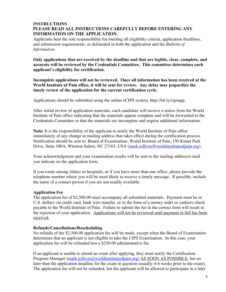#### **INSTRUCTIONS PLEASE READ ALL INSTRUCTIONS CAREFULLY BEFORE ENTERING ANY INFORMATION ON THE APPLICATION.**

Applicants bear the sole responsibility for meeting all eligibility criteria, application deadlines, and submission requirements, as delineated in both the application and the *Bulletin of Information.*

**Only applications that are received by the deadline and that are legible, clear, complete, and accurate will be reviewed by the Credentials Committee. This committee determines each applicant's eligibility for certification.**

**Incomplete applications will not be reviewed. Once all information has been received at the World Institute of Pain office, it will be sent for review. Any delay may jeopardize the timely review of the application for the current certification cycle.**

Applications should be submitted using the online eCIPS system, http://bit.ly/cipsapp.

After initial review of application materials, each candidate will receive a notice from the World Institute of Pain office indicating that the materials appear complete and will be forwarded to the Credentials Committee or that the materials are incomplete and require additional information.

**Note:** It is the responsibility of the applicant to notify the World Institute of Pain office immediately of any change in mailing address that takes effect during the certification process. Notification should be sent to: Board of Examination, World Institute of Pain, 150 Kimel Park Drive, Suite 100A, Winston Salem, NC 27103, USA (mark.tolliver@worldinstituteofpain.org).

Your acknowledgment and your examination results will be sent to the mailing address/e-mail you indicate on the application form.

If you rotate among clinics or hospitals, or if you have more than one office, please provide the telephone number where you will be most likely to receive a timely message. If possible, include the name of a contact person if you are not readily available.

#### **Application Fee**

The application fee of \$2,500.00 must accompany all submitted materials. Payment must be in U.S. dollars via credit card, bank wire transfer, or in the form of a money order or cashiers check payable to the World Institute of Pain. Failure to submit the fee in the correct form will result in the rejection of your application. Applications will not be reviewed until payment in full has been received.

#### **Refunds/Cancellations/Rescheduling**

No refunds of the \$2,500.00 application fee will be made, except when the Board of Examination determines that an applicant is not eligible to take the CIPS Examination. In this case, your application fee will be refunded less a \$250.00 administrative fee.

If an applicant is unable to attend an exam after applying, they must notify the Certification Program Manager (mark.tolliver@worldinstituteofpain.org) AS SOON AS POSSIBLE, but no later than the application deadline for the exam in question (usually 4-6 weeks prior to the exam). The application fee will not be refunded, but the applicant will be allowed to participate in a later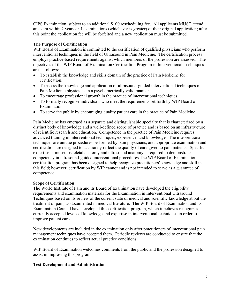CIPS Examination, subject to an additional \$100 rescheduling fee. All applicants MUST attend an exam within 2 years or 4 examinations (whichever is greater) of their original application; after this point the application fee will be forfeited and a new application must be submitted.

#### **The Purpose of Certification**

WIP Board of Examination is committed to the certification of qualified physicians who perform interventional techniques in the field of Ultrasound in Pain Medicine. The certification process employs practice-based requirements against which members of the profession are assessed. The objectives of the WIP Board of Examination Certification Program in Interventional Techniques are as follows:

- To establish the knowledge and skills domain of the practice of Pain Medicine for certification.
- To assess the knowledge and application of ultrasound-guided interventional techniques of Pain Medicine physicians in a psychometrically valid manner.
- To encourage professional growth in the practice of interventional techniques.
- To formally recognize individuals who meet the requirements set forth by WIP Board of Examination.
- To serve the public by encouraging quality patient care in the practice of Pain Medicine.

Pain Medicine has emerged as a separate and distinguishable specialty that is characterized by a distinct body of knowledge and a well-defined scope of practice and is based on an infrastructure of scientific research and education. Competence in the practice of Pain Medicine requires advanced training in interventional techniques, experience, and knowledge. The interventional techniques are unique procedures performed by pain physicians, and appropriate examination and certification are designed to accurately reflect the quality of care given to pain patients. Specific expertise in musculoskeletal anatomy and ultrasound anatomy is required to demonstrate competency in ultrasound-guided interventional procedures The WIP Board of Examination certification program has been designed to help recognize practitioners' knowledge and skill in this field; however, certification by WIP cannot and is not intended to serve as a guarantee of competence.

#### **Scope of Certification**

The World Institute of Pain and its Board of Examination have developed the eligibility requirements and examination materials for the Examination in Interventional Ultrasound Techniques based on its review of the current state of medical and scientific knowledge about the treatment of pain, as documented in medical literature. The WIP Board of Examination and its Examination Council have developed this certification program, which it believes recognizes currently accepted levels of knowledge and expertise in interventional techniques in order to improve patient care.

New developments are included in the examination only after practitioners of interventional pain management techniques have accepted them. Periodic reviews are conducted to ensure that the examination continues to reflect actual practice conditions.

WIP Board of Examination welcomes comments from the public and the profession designed to assist in improving this program.

#### **Test Development and Administration**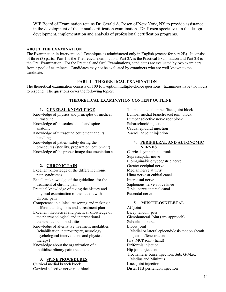WIP Board of Examination retains Dr. Gerald A. Rosen of New York, NY to provide assistance in the development of the annual certification examination. Dr. Rosen specializes in the design, development, implementation and analysis of professional certification programs.

#### **ABOUT THE EXAMINATION**

The Examination in Interventional Techniques is administered only in English (except for part 2B). It consists of three (3) parts. Part 1 is the Theoretical examination. Part 2A is the Practical Examination and Part 2B is the Oral Examination. For the Practical and Oral Examinations, candidates are evaluated by two examiners from a pool of examiners. Candidates may not be evaluated by examiners who are well-known to the candidate.

#### **PART 1 – THEORETICAL EXAMINATION**

The theoretical examination consists of 100 four-option multiple-choice questions. Examinees have two hours to respond. The questions cover the following topics:

#### **THEORETICAL EXAMINATION CONTENT OUTLINE**

#### **1. GENERAL KNOWLEDGE**

Knowledge of physics and principles of medical ultrasound

- Knowledge of musculoskeletal and spine anatomy
- Knowledge of ultrasound equipment and its handling

Knowledge of patient safety during the procedures (sterility, preparation, equipment) Knowledge of the proper image documentation a

#### **2. CHRONIC PAIN**

Excellent knowledge of the different chronic pain syndromes

- Excellent knowledge of the guidelines for the treatment of chronic pain
- Practical knowledge of taking the history and physical examination of the patient with chronic pain

Competence in clinical reasoning and making a differential diagnosis and a treatment plan

Excellent theoretical and practical knowledge of the pharmacological and interventional therapeutic pain modalities

Knowledge of alternative treatment modalities (rehabilitation, neurosurgery, neurology, psychological interventions and physical therapy)

Knowledge about the organization of a multidisciplinary pain treatment

#### **3. SPINE PROCEDURES**

Cervical medial branch block Cervical selective nerve root block

Thoracic medial branch/facet joint block Lumbar medial branch/facet joint block Lumbar selective nerve root block Subarachnoid injection Caudal epidural injection Sacroiliac joint injection

#### **4. PERIPHERAL AND AUTONOMIC NERVES**

Cervical sympathetic trunk Suprascapular nerve Ilioinguinal/iliohypogastric nerve Greater occipital nerve Median nerve at wrist Ulnar nerve at cubital canal Intercostal nerve Saphenous nerve above knee Tibial nerve at tarsal canal Pudendal nerve

#### **5. MUSCULOSKELETAL**

AC joint Bicep tendon (peri) Glenohumeral Joint (any approach) Subdeltoid bursa Elbow joint Medial or lateral epicondylosis tendon sheath injection/fenestration First MCP joint (hand) Piriformis injection Hip joint injection Trochanteric bursa injection, Sub. G-Max, Medius and Minimus Knee joint injection Distal ITB peritendon injection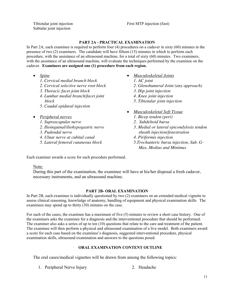First MTP injection (foot)

Tibiotalar joint injection Subtalar joint injection

#### **PART 2A - PRACTICAL EXAMINATION**

In Part 2A, each examinee is required to perform four (4) procedures on a cadaver in sixty (60) minutes in the presence of two (2) examiners. The candidate will have fifteen (15) minutes in which to perform each procedure, with the assistance of an ultrasound machine, for a total of sixty (60) minutes. Two examiners, with the assistance of an ultrasound machine, will evaluate the techniques performed by the examinee on the cadaver. **Examinees are assigned one (1) procedure from each region.** 

- *Spine*
	- *1. Cervical medial branch block*
	- *2. Cervical selective nerve root block*
	- *3. Thoracic facet joint block*
	- *4. Lumbar medial branch/facet joint block*
	- *5. Caudal epidural injection*
- *Peripheral nerves*
	- *1. Suprascapular nerve*
	- *2. Ilioinguinal/iliohypogastric nerve*
	- *3. Pudendal nerve*
	- *4. Ulnar nerve at cubital canal*
	- *5. Lateral femoral cutaneous block*
- *Musculoskeletal Joints*
	- *1. AC joint*
	- *2. Glenohumeral Joint (any approach)*
	- *3. Hip joint injection*
	- *4. Knee joint injection*
	- *5. Tibiotalar joint injection*
- *Musculoskeletal Soft Tissue*
	- *1. Bicep tendon (peri)*
	- *2. Subdeltoid bursa*
	- *3. Medial or lateral epicondylosis tendon sheath injection/fenestration*
	- *4. Piriformis injection*
	- *5.Trochanteric bursa injection, Sub. G-Max, Medius and Minimus*

Each examiner awards a score for each procedure performed.

#### Note:

During this part of the examination, the examinee will have at his/her disposal a fresh cadaver, necessary instruments, and an ultrasound machine.

#### **PART 2B- ORAL EXAMINATION**

In Part 2B, each examinee is individually questioned by two (2) examiners on an extended medical vignette to assess clinical reasoning, knowledge of anatomy, handling of equipment and physical examination skills. The examinees may spend up to thirty (30) minutes on the case.

For each of the cases, the examinee has a maximum of five (5) minutes to review a short case history. One of the examiners asks the examinee for a diagnosis and the interventional procedure that should be performed. The examiner also asks a series of up to ten (10) questions that relate to the care and treatment of the patient. The examinee will then perform a physical and ultrasound examination of a live model. Both examiners award a score for each case based on the examinee's diagnosis, suggested interventional procedure, physical examination skills, ultrasound examination and answers to the questions posed.

#### **ORAL EXAMINATION CONTENT OUTLINE**

The oral cases/medical vignettes will be drawn from among the following topics:

- 1. Peripheral Nerve Injury 2. Headache
-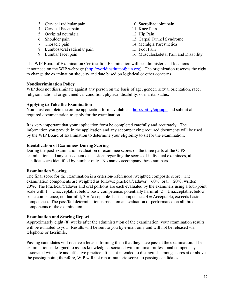- 3. Cervical radicular pain
- 4. Cervical Facet pain
- 5. Occipital neuralgia
- 6. Shoulder pain
- 7. Thoracic pain
- 8. Lumbosacral radicular pain
- 9. Lumbar facet pain
- 10. Sacroiliac joint pain
- 11. Knee Pain
- 12. Hip Pain
- 13. Carpal Tunnel Syndrome
- 14. Meralgia Paresthetica
- 15. Foot Pain
- 16. Musculoskeletal Pain and Disability

The WIP Board of Examination Certification Examination will be administered at locations announced on the WIP webpage (http://worldinstituteofpain.org). The organization reserves the right to change the examination site, city and date based on logistical or other concerns.

#### **Nondiscrimination Policy**

WIP does not discriminate against any person on the basis of age, gender, sexual orientation, race, religion, national origin, medical condition, physical disability, or marital status.

#### **Applying to Take the Examination**

You must complete the online application form available at http://bit.ly/cipsapp and submit all required documentation to apply for the examination.

It is very important that your application form be completed carefully and accurately. The information you provide in the application and any accompanying required documents will be used by the WIP Board of Examination to determine your eligibility to sit for the examination.

#### **Identification of Examinees During Scoring**

During the post-examination evaluation of examinee scores on the three parts of the CIPS examination and any subsequent discussions regarding the scores of individual examinees, all candidates are identified by number only. No names accompany these numbers.

#### **Examination Scoring**

The final score for the examination is a criterion-referenced, weighted composite score. The examination components are weighted as follows: practical/cadaver =  $60\%$ ; oral =  $20\%$ ; written = 20%. The Practical/Cadaver and oral portions are each evaluated by the examiners using a four-point scale with  $1 =$  Unacceptable, below basic competence, potentially harmful;  $2 =$  Unacceptable, below basic competence, not harmful;  $3 =$  Acceptable, basic competence;  $4 =$  Acceptable, exceeds basic competence. The pass/fail determination is based on an evaluation of performance on all three components of the examination.

#### **Examination and Scoring Report**

Approximately eight (8) weeks after the administration of the examination, your examination results will be e-mailed to you. Results will be sent to you by e-mail only and will not be released via telephone or facsimile.

Passing candidates will receive a letter informing them that they have passed the examination. The examination is designed to assess knowledge associated with minimal professional competency associated with safe and effective practice. It is not intended to distinguish among scores at or above the passing point; therefore, WIP will not report numeric scores to passing candidates.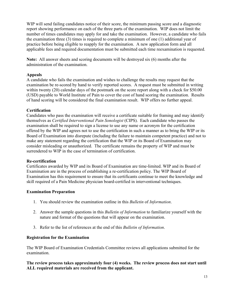WIP will send failing candidates notice of their score, the minimum passing score and a diagnostic report showing performance on each of the three parts of the examination. WIP does not limit the number of times candidates may apply for and take the examination. However, a candidate who fails the examination three (3) times is required to complete a minimum of one (1) additional year of practice before being eligible to reapply for the examination. A new application form and all applicable fees and required documentation must be submitted each time reexamination is requested.

**Note:** All answer sheets and scoring documents will be destroyed six (6) months after the administration of the examination.

#### **Appeals**

A candidate who fails the examination and wishes to challenge the results may request that the examination be re-scored by hand to verify reported scores. A request must be submitted in writing within twenty (20) calendar days of the postmark on the score report along with a check for \$50.00 (USD) payable to World Institute of Pain to cover the cost of hand scoring the examination. Results of hand scoring will be considered the final examination result. WIP offers no further appeal.

#### **Certification**

Candidates who pass the examination will receive a certificate suitable for framing and may identify themselves as *Certified Interventional Pain Sonologist* (CIPS). Each candidate who passes the examination shall be required to sign a license to use any name or acronym for the certification offered by the WIP and agrees not to use the certification in such a manner as to bring the WIP or its Board of Examination into disrepute (including the failure to maintain competent practice) and not to make any statement regarding the certification that the WIP or its Board of Examination may consider misleading or unauthorized. The certificate remains the property of WIP and must be surrendered to WIP in the case of termination of certification.

#### **Re-certification**

Certificates awarded by WIP and its Board of Examination are time-limited. WIP and its Board of Examination are in the process of establishing a re-certification policy. The WIP Board of Examination has this requirement to ensure that its certificants continue to meet the knowledge and skill required of a Pain Medicine physician board-certified in interventional techniques.

#### **Examination Preparation**

- 1. You should review the examination outline in this *Bulletin* of *Information*.
- 2. Answer the sample questions in this *Bulletin of Information* to familiarize yourself with the nature and format of the questions that will appear on the examination.
- 3. Refer to the list of references at the end of this *Bulletin of Information*.

#### **Registration for the Examination**

The WIP Board of Examination Credentials Committee reviews all applications submitted for the examination.

**The review process takes approximately four (4) weeks. The review process does not start until ALL required materials are received from the applicant.**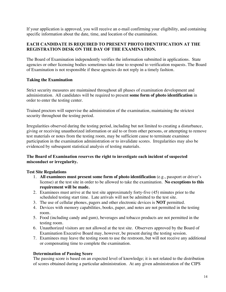If your application is approved, you will receive an e-mail confirming your eligibility, and containing specific information about the date, time, and location of the examination.

#### **EACH CANDIDATE IS REQUIRED TO PRESENT PHOTO IDENTIFICATION AT THE REGISTRATION DESK ON THE DAY OF THE EXAMINATION.**

The Board of Examination independently verifies the information submitted in applications. State agencies or other licensing bodies sometimes take time to respond to verification requests. The Board of Examination is not responsible if these agencies do not reply in a timely fashion.

#### **Taking the Examination**

Strict security measures are maintained throughout all phases of examination development and administration. All candidates will be required to present **some form of photo identification** in order to enter the testing center.

Trained proctors will supervise the administration of the examination, maintaining the strictest security throughout the testing period.

Irregularities observed during the testing period, including but not limited to creating a disturbance, giving or receiving unauthorized information or aid to or from other persons, or attempting to remove test materials or notes from the testing room, may be sufficient cause to terminate examinee participation in the examination administration or to invalidate scores. Irregularities may also be evidenced by subsequent statistical analysis of testing materials.

#### **The Board of Examination reserves the right to investigate each incident of suspected misconduct or irregularity.**

#### **Test Site Regulations**

- 1. **All examinees must present some form of photo identification** (e.g., passport or driver's license) at the test site in order to be allowed to take the examination. **No exceptions to this requirement will be made.**
- 2. Examinees must arrive at the test site approximately forty-five (45) minutes prior to the scheduled testing start time. Late arrivals will not be admitted to the test site.
- 3. The use of cellular phones, pagers and other electronic devices is **NOT** permitted.
- 4. Devices with memory capabilities, books, paper, and notes are not permitted in the testing room.
- 5. Food (including candy and gum), beverages and tobacco products are not permitted in the testing room.
- 6. Unauthorized visitors are not allowed at the test site. Observers approved by the Board of Examination Executive Board may, however, be present during the testing session.
- 7. Examinees may leave the testing room to use the restroom, but will not receive any additional or compensating time to complete the examination.

#### **Determination of Passing Score**

The passing score is based on an expected level of knowledge; it is not related to the distribution of scores obtained during a particular administration. At any given administration of the CIPS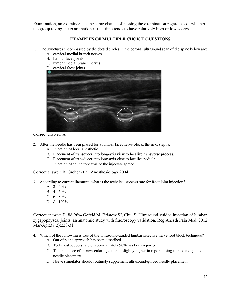Examination, an examinee has the same chance of passing the examination regardless of whether the group taking the examination at that time tends to have relatively high or low scores.

#### **EXAMPLES OF MULTIPLE CHOICE QUESTIONS**

- 1. The structures encompassed by the dotted circles in the coronal ultrasound scan of the spine below are:
	- A. cervical medial branch nerves.
	- B. lumbar facet joints.
	- C. lumbar medial branch nerves.
	- D. cervical facet joints.



Correct answer: A

- 2. After the needle has been placed for a lumbar facet nerve block, the next step is:
	- A. Injection of local anesthetic.
	- B. Placement of transducer into long-axis view to localize transverse process.
	- C. Placement of transducer into long-axis view to localize pedicle.
	- D. Injection of saline to visualize the injectate spread.

Correct answer: B. Greher et al. Anesthesiology 2004

- 3. According to current literature, what is the technical success rate for facet joint injection?
	- A. 21-40%
	- B. 41-60%
	- C.  $61-80%$
	- D. 81-100\%

Correct answer: D. 88-96% Gofeld M, Bristow SJ, Chiu S. Ultrasound-guided injection of lumbar zygapophyseal joints: an anatomic study with fluoroscopy validation. Reg Anesth Pain Med. 2012 Mar-Apr;37(2):228-31.

- 4. Which of the following is true of the ultrasound-guided lumbar selective nerve root block technique?
	- A. Out of plane approach has been described
	- B. Technical success rate of approximately 90% has been reported
	- C. The incidence of intravascular injection is slightly higher in reports using ultrasound guided needle placement
	- D. Nerve stimulator should routinely supplement ultrasound-guided needle placement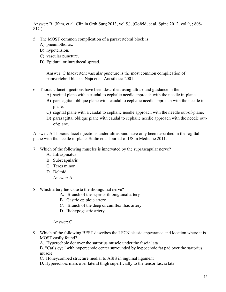Answer: B; (Kim, et al. Clin in Orth Surg 2013, vol 5.), (Gofeld, et al. Spine 2012, vol 9, ; 808- 812.)

- 5. The MOST common complication of a paravertebral block is:
	- A) pneumothorax.
	- B) hypotension.
	- C) vascular puncture.
	- D) Epidural or intrathecal spread.

Answer: C Inadvertent vascular puncture is the most common complication of paravertebral blocks. Naja et al Anesthesia 2001

- 6. Thoracic facet injections have been described using ultrasound guidance in the:
	- A) sagittal plane with a caudal to cephalic needle approach with the needle in-plane.
	- B) parasagittal oblique plane with caudal to cephalic needle approach with the needle inplane.
	- C) sagittal plane with a caudal to cephalic needle approach with the needle out-of-plane.
	- D) parasagittal oblique plane with caudal to cephalic needle approach with the needle outof-plane.

Answer: A Thoracic facet injections under ultrasound have only been described in the sagittal plane with the needle in-plane. Stulic et al Journal of US in Medicine 2011.

- 7. Which of the following muscles is innervated by the suprascapular nerve?
	- A. Infraspinatus
	- B. Subscapularis
	- C. Teres minor
	- D. Deltoid

Answer: A

- 8. Which artery lies close to the ilioinguinal nerve?
	- A. Branch of the superior iliioinguinal artery
	- B. Gastric epiploic artery
	- C. Branch of the deep circumflex iliac artery
	- D. Iliohypogastric artery

#### Answer: C

- 9. Which of the following BEST describes the LFCN classic appearance and location where it is MOST easily found?
	- A. Hyperechoic dot over the sartorius muscle under the fascia lata

B. "Cat's eye" with hyperechoic center surrounded by hypoechoic fat pad over the sartorius muscle

- C. Honeycombed structure medial to ASIS in inguinal ligament
- D. Hyperechoic mass over lateral thigh superficially to the tensor fascia lata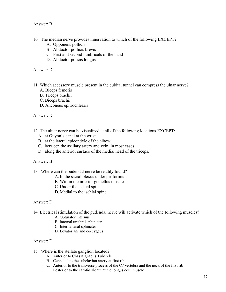#### Answer: B

- 10. The median nerve provides innervation to which of the following EXCEPT?
	- A. Opponens pollicis
	- B. Abductor pollicis brevis
	- C. First and second lumbricals of the hand
	- D. Abductor policis longus

Answer: D

- 11. Which accessory muscle present in the cubital tunnel can compress the ulnar nerve?
	- A. Biceps femoris
	- B. Triceps brachii
	- C. Biceps brachii
	- D. Anconeus epitrochlearis

Answer: D

- 12. The ulnar nerve can be visualized at all of the following locations EXCEPT:
	- A. at Guyon's canal at the wrist.
	- B. at the lateral epicondyle of the elbow.
	- C. between the axillary artery and vein, in most cases.
	- D. along the anterior surface of the medial head of the triceps.

#### Answer: B

- 13. Where can the pudendal nerve be readily found?
	- A.In the sacral plexus under piriformis
	- B. Within the inferior gemellus muscle
	- C. Under the ischial spine
	- D. Medial to the ischial spine

#### Answer: D

- 14. Electrical stimulation of the pudendal nerve will activate which of the following muscles?
	- A. Obturator internus
	- B. internal urethral sphincter
	- C. Internal anal sphincter
	- D. Levator ani and coccygeus

#### Answer: D

- 15. Where is the stellate ganglion located?
	- A. Anterior to Chassaignac' s Tubercle
	- B. Cephalad to the subclavian artery at first rib
	- C. Anterior to the transverse process of the C7 vertebra and the neck of the first rib
	- D. Posterior to the carotid sheath at the longus colli muscle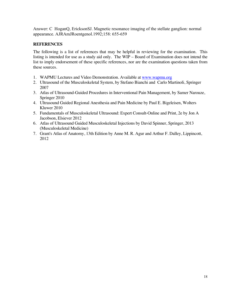Answer: C HoganQ, EricksonSJ. Magnetic resonance imaging of the stellate ganglion: normal appearance. AJRAmJRoentgenol.1992;158: 655-659

#### **REFERENCES**

The following is a list of references that may be helpful in reviewing for the examination. This listing is intended for use as a study aid only. The WIP – Board of Examination does not intend the list to imply endorsement of these specific references, nor are the examination questions taken from these sources.

- 1. WAPMU Lectures and Video Demonstration. Available at www.wapmu.org
- 2. Ultrasound of the Musculoskeletal System, by Stefano Bianchi and Carlo Martinoli, Springer 2007
- 3. Atlas of Ultrasound-Guided Procedures in Interventional Pain Management, by Samer Narouze, Springer 2010
- 4. Ultrasound Guided Regional Anesthesia and Pain Medicine by Paul E. Bigeleisen, Wolters Kluwer 2010
- 5. Fundamentals of Musculoskeletal Ultrasound: Expert Consult-Online and Print, 2e by Jon A Jacobson, Elsiever 2012
- 6. Atlas of Ultrasound Guided Musculoskeletal Injections by David Spinner, Springer, 2013 (Musculoskeletal Medicine)
- 7. Grant's Atlas of Anatomy, 13th Edition by Anne M. R. Agur and Arthur F. Dalley, Lippincott, 2012